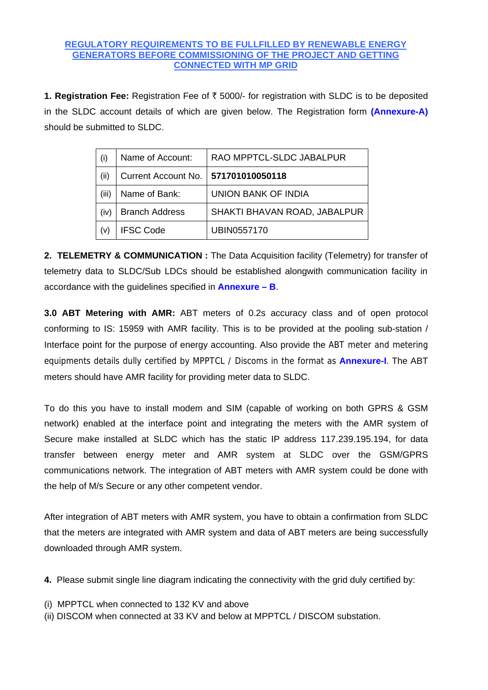## **REGULATORY REQUIREMENTS TO BE FULLFILLED BY RENEWABLE ENERGY GENERATORS BEFORE COMMISSIONING OF THE PROJECT AND GETTING CONNECTED WITH MP GRID**

1. **Registration Fee:** Registration Fee of  $\bar{\tau}$  5000/- for registration with SLDC is to be deposited in the SLDC account details of which are given below. The Registration form **(Annexure-A)**  should be submitted to SLDC.

| (i)   | Name of Account:                      | RAO MPPTCL-SLDC JABALPUR     |
|-------|---------------------------------------|------------------------------|
| (ii)  | Current Account No.   571701010050118 |                              |
| (iii) | Name of Bank:                         | <b>UNION BANK OF INDIA</b>   |
| (iv)  | <b>Branch Address</b>                 | SHAKTI BHAVAN ROAD, JABALPUR |
|       | <b>IFSC Code</b>                      | UBIN0557170                  |

**2. TELEMETRY & COMMUNICATION :** The Data Acquisition facility (Telemetry) for transfer of telemetry data to SLDC/Sub LDCs should be established alongwith communication facility in accordance with the guidelines specified in **Annexure – B**.

**3.0 ABT Metering with AMR:** ABT meters of 0.2s accuracy class and of open protocol conforming to IS: 15959 with AMR facility. This is to be provided at the pooling sub-station / Interface point for the purpose of energy accounting. Also provide the ABT meter and metering equipments details dully certified by MPPTCL / Discoms in the format as **Annexure-I**. The ABT meters should have AMR facility for providing meter data to SLDC.

To do this you have to install modem and SIM (capable of working on both GPRS & GSM network) enabled at the interface point and integrating the meters with the AMR system of Secure make installed at SLDC which has the static IP address 117.239.195.194, for data transfer between energy meter and AMR system at SLDC over the GSM/GPRS communications network. The integration of ABT meters with AMR system could be done with the help of M/s Secure or any other competent vendor.

After integration of ABT meters with AMR system, you have to obtain a confirmation from SLDC that the meters are integrated with AMR system and data of ABT meters are being successfully downloaded through AMR system.

**4.** Please submit single line diagram indicating the connectivity with the grid duly certified by:

- (i) MPPTCL when connected to 132 KV and above
- (ii) DISCOM when connected at 33 KV and below at MPPTCL / DISCOM substation.